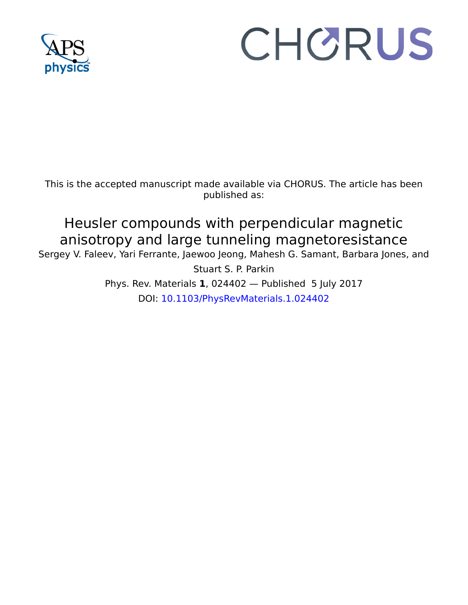

# CHORUS

This is the accepted manuscript made available via CHORUS. The article has been published as:

## Heusler compounds with perpendicular magnetic anisotropy and large tunneling magnetoresistance

Sergey V. Faleev, Yari Ferrante, Jaewoo Jeong, Mahesh G. Samant, Barbara Jones, and

Stuart S. P. Parkin Phys. Rev. Materials **1**, 024402 — Published 5 July 2017 DOI: [10.1103/PhysRevMaterials.1.024402](http://dx.doi.org/10.1103/PhysRevMaterials.1.024402)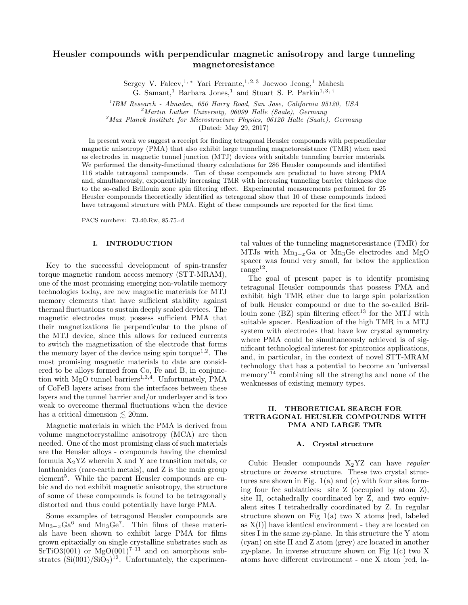### Heusler compounds with perpendicular magnetic anisotropy and large tunneling magnetoresistance

Sergey V. Faleev,<sup>1,\*</sup> Yari Ferrante,<sup>1,2,3</sup> Jaewoo Jeong,<sup>1</sup> Mahesh

G. Samant,<sup>1</sup> Barbara Jones,<sup>1</sup> and Stuart S. P. Parkin<sup>1, 3, †</sup>

<sup>1</sup>IBM Research - Almaden, 650 Harry Road, San Jose, California 95120, USA

 $^{2}$ Martin Luther University, 06099 Halle (Saale), Germany

 $3$ Max Planck Institute for Microstructure Physics, 06120 Halle (Saale), Germany

(Dated: May 29, 2017)

In present work we suggest a receipt for finding tetragonal Heusler compounds with perpendicular magnetic anisotropy (PMA) that also exhibit large tunneling magnetoresistance (TMR) when used as electrodes in magnetic tunnel junction (MTJ) devices with suitable tunneling barrier materials. We performed the density-functional theory calculations for 286 Heusler compounds and identified 116 stable tetragonal compounds. Ten of these compounds are predicted to have strong PMA and, simultaneously, exponentially increasing TMR with increasing tunneling barrier thickness due to the so-called Brillouin zone spin filtering effect. Experimental measurements performed for 25 Heusler compounds theoretically identified as tetragonal show that 10 of these compounds indeed have tetragonal structure with PMA. Eight of these compounds are reported for the first time.

PACS numbers: 73.40.Rw, 85.75.-d

#### I. INTRODUCTION

Key to the successful development of spin-transfer torque magnetic random access memory (STT-MRAM), one of the most promising emerging non-volatile memory technologies today, are new magnetic materials for MTJ memory elements that have sufficient stability against thermal fluctuations to sustain deeply scaled devices. The magnetic electrodes must possess sufficient PMA that their magnetizations lie perpendicular to the plane of the MTJ device, since this allows for reduced currents to switch the magnetization of the electrode that forms the memory layer of the device using spin torque<sup>1,2</sup>. The most promising magnetic materials to date are considered to be alloys formed from Co, Fe and B, in conjunction with MgO tunnel barriers<sup>1,3,4</sup>. Unfortunately, PMA of CoFeB layers arises from the interfaces between these layers and the tunnel barrier and/or underlayer and is too weak to overcome thermal fluctuations when the device has a critical dimension  $\lesssim$  20nm.

Magnetic materials in which the PMA is derived from volume magnetocrystalline anisotropy (MCA) are then needed. One of the most promising class of such materials are the Heusler alloys - compounds having the chemical formula  $X_2$ YZ wherein X and Y are transition metals, or lanthanides (rare-earth metals), and Z is the main group element<sup>5</sup> . While the parent Heusler compounds are cubic and do not exhibit magnetic anisotropy, the structure of some of these compounds is found to be tetragonally distorted and thus could potentially have large PMA.

Some examples of tetragonal Heusler compounds are  $Mn_{3-x}Ga^6$  and  $Mn_3Ge^7$ . Thin films of these materials have been shown to exhibit large PMA for films grown epitaxially on single crystalline substrates such as  $STIO3(001)$  or  $MgO(001)^{7-11}$  and on amorphous substrates  $(Si(001)/SiO<sub>2</sub>)<sup>12</sup>$ . Unfortunately, the experimental values of the tunneling magnetoresistance (TMR) for MTJs with  $Mn_{3-x}Ga$  or  $Mn_3Ge$  electrodes and MgO spacer was found very small, far below the application  $\text{range}^{12}$ .

The goal of present paper is to identify promising tetragonal Heusler compounds that possess PMA and exhibit high TMR ether due to large spin polarization of bulk Heusler compound or due to the so-called Brillouin zone  $(BZ)$  spin filtering effect<sup>13</sup> for the MTJ with suitable spacer. Realization of the high TMR in a MTJ system with electrodes that have low crystal symmetry where PMA could be simultaneously achieved is of significant technological interest for spintronics applications, and, in particular, in the context of novel STT-MRAM technology that has a potential to become an 'universal memory<sup>14</sup> combining all the strengths and none of the weaknesses of existing memory types.

#### II. THEORETICAL SEARCH FOR TETRAGONAL HEUSLER COMPOUNDS WITH PMA AND LARGE TMR

#### A. Crystal structure

Cubic Heusler compounds  $X_2YZ$  can have regular structure or inverse structure. These two crystal structures are shown in Fig. 1(a) and (c) with four sites forming four fcc sublattices: site Z (occupied by atom Z), site II, octahedrally coordinated by Z, and two equivalent sites I tetrahedrally coordinated by Z. In regular structure shown on Fig 1(a) two X atoms [red, labeled as  $X(I)$  have identical environment - they are located on sites I in the same  $xy$ -plane. In this structure the Y atom (cyan) on site II and Z atom (grey) are located in another  $x\overline{u}$ -plane. In inverse structure shown on Fig 1(c) two X atoms have different environment - one X atom [red, la-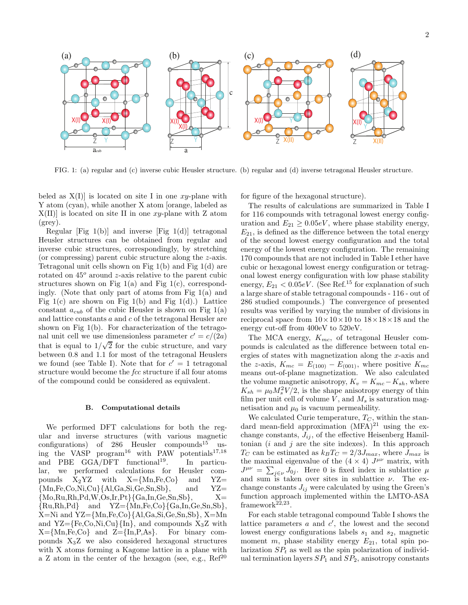

FIG. 1: (a) regular and (c) inverse cubic Heusler structure. (b) regular and (d) inverse tetragonal Heusler structure.

beled as  $X(I)$  is located on site I in one xy-plane with Y atom (cyan), while another X atom [orange, labeled as  $X(II)$  is located on site II in one xy-plane with Z atom (grey).

Regular [Fig 1(b)] and inverse [Fig 1(d)] tetragonal Heusler structures can be obtained from regular and inverse cubic structures, correspondingly, by stretching (or compressing) parent cubic structure along the z-axis. Tetragonal unit cells shown on Fig 1(b) and Fig 1(d) are rotated on  $45^{\circ}$  around z-axis relative to the parent cubic structures shown on Fig  $1(a)$  and Fig  $1(c)$ , correspondingly. (Note that only part of atoms from Fig 1(a) and Fig  $1(c)$  are shown on Fig  $1(b)$  and Fig  $1(d)$ .) Lattice constant  $a_{\text{cub}}$  of the cubic Heusler is shown on Fig 1(a) and lattice constants  $a$  and  $c$  of the tetragonal Heusler are shown on Fig 1(b). For characterization of the tetragonal unit cell we use dimensionless parameter  $c' = c/(2a)$ that is equal to  $1/\sqrt{2}$  for the cubic structure, and vary between 0.8 and 1.1 for most of the tetragonal Heuslers we found (see Table I). Note that for  $c' = 1$  tetragonal structure would become the *fcc* structure if all four atoms of the compound could be considered as equivalent.

#### B. Computational details

We performed DFT calculations for both the regular and inverse structures (with various magnetic configurations) of  $286$  Heusler compounds<sup>15</sup> using the VASP program<sup>16</sup> with PAW potentials<sup>17,18</sup> and PBE  $GGA/DFT$  functional<sup>19</sup>. In particular, we performed calculations for Heusler compounds  $X_2YZ$  with  $X=\{Mn,Fe,Co\}$  and  $YZ=\{Mn,Fe,Co,Ni,Cu\}\{A1,Ga,Si,Ge,Sn,Sb\},$  and  $YZ=$  $\{Mn,Fe,Co,Ni,Cu\}$   $\{Al,Ga,Si,Ge,Sn,Sb\}$ , and  $YZ = \{Mo,Ru,Rh,Pd,W,Os,Ir,Pt\}$   $\{Ga,In,Ge,Sn,Sb\}$ .  $X =$  ${Mo,Ru,Rh,Pd,W,Os,Ir,Pt}{Ga,In,Ge,Sn,Sb},$  $\{Ru,Rh, Pd\}$  and  $YZ=\{Mn,Fe,Co\}\{Ga,In,Ge,Sn,Sb\},\$ X=Ni and YZ={Mn,Fe,Co}{Al,Ga,Si,Ge,Sn,Sb}, X=Mn and  $YZ = \{Fe, Co, Ni, Cu\}$  {In}, and compounds  $X_3Z$  with  $X = \{Mn, Fe, Co\}$  and  $Z = \{In, P, As\}$ . For binary compounds X3Z we also considered hexagonal structures with X atoms forming a Kagome lattice in a plane with a Z atom in the center of the hexagon (see, e.g.,  $\text{Ref}^{20}$ ) for figure of the hexagonal structure).

The results of calculations are summarized in Table I for 116 compounds with tetragonal lowest energy configuration and  $E_{21} \geq 0.05eV$ , where phase stability energy,  $E_{21}$ , is defined as the difference between the total energy of the second lowest energy configuration and the total energy of the lowest energy configuration. The remaining 170 compounds that are not included in Table I ether have cubic or hexagonal lowest energy configuration or tetragonal lowest energy configuration with low phase stability energy,  $E_{21} < 0.05eV$ . (See Ref.<sup>15</sup> for explanation of such a large share of stable tetragonal compounds - 116 - out of 286 studied compounds.) The convergence of presented results was verified by varying the number of divisions in reciprocal space from  $10 \times 10 \times 10$  to  $18 \times 18 \times 18$  and the energy cut-off from 400eV to 520eV.

The MCA energy,  $K_{mc}$ , of tetragonal Heusler compounds is calculated as the difference between total energies of states with magnetization along the x-axis and the z-axis,  $K_{mc} = E_{(100)} - E_{(001)}$ , where positive  $K_{mc}$ means out-of-plane magnetization. We also calculated the volume magnetic anisotropy,  $K_v = K_{mc} - K_{sh}$ , where  $K_{sh} = \mu_0 M_s^2 V/2$ , is the shape anisotropy energy of thin film per unit cell of volume  $V$ , and  $M_s$  is saturation magnetisation and  $\mu_0$  is vacuum permeability.

We calculated Curie temperature,  $T_C$ , within the standard mean-field approximation  $(MFA)^{21}$  using the exchange constants,  $J_{ij}$ , of the effective Heisenberg Hamiltonian  $(i \text{ and } j \text{ are the site indexes})$ . In this approach  $T_C$  can be estimated as  $k_B T_C = 2/3 J_{max}$ , where  $J_{max}$  is the maximal eigenvalue of the  $(4 \times 4)$   $J^{\mu\nu}$  matrix, with  $J^{\mu\nu} = \sum_{j \in \nu} J_{0j}$ . Here 0 is fixed index in sublattice  $\mu$ and sum is taken over sites in sublattice  $\nu$ . The exchange constants  $J_{ij}$  were calculated by using the Green's function approach implemented within the LMTO-ASA framework $22,23$ .

For each stable tetragonal compound Table I shows the lattice parameters  $a$  and  $c'$ , the lowest and the second lowest energy configurations labels  $s_1$  and  $s_2$ , magnetic moment m, phase stability energy  $E_{21}$ , total spin polarization  $SP<sub>t</sub>$  as well as the spin polarization of individual termination layers  $SP<sub>1</sub>$  and  $SP<sub>2</sub>$ , anisotropy constants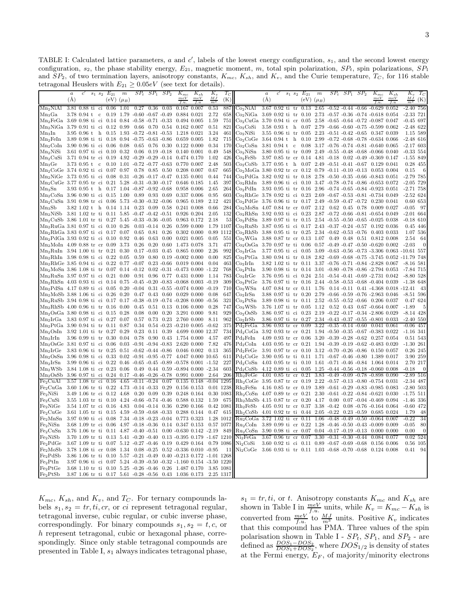TABLE I: Calculated lattice parameters,  $a$  and  $c'$ , labels of the lowest energy configuration,  $s_1$ , and the second lowest energy configuration,  $s_2$ , the phase stability energy,  $E_{21}$ , magnetic moment, m, total spin polarization,  $SP_t$ , spin polarizations,  $SP_1$ and  $SP_2$ , of two termination layers, anisotropy constants,  $K_{mc}$ ,  $K_{sh}$ , and  $K_v$ , and the Curie temperature,  $T_C$ , for 116 stable tetragonal Heuslers with  $E_{21} \geq 0.05eV$  (see text for details).

|                                                                                                                               | $\boldsymbol{a}$<br>(A) | $\epsilon'$               | $\begin{array}{cc} s_1 & s_2 \end{array}$ | $E_{21}$<br>(eV) | $\boldsymbol{m}$<br>$(\mu_B)$ | $SP_t$                                      | SP <sub>1</sub> | SP <sub>2</sub>                       | $K_{mc}$<br>meV                                                                                         | $K_{sh}$<br>meV | $K_v$<br>M <sub>J</sub> | $T_C$<br>(K) |                                                                                                             | $\boldsymbol{a}$<br>(A) | c             | $s_1$ $s_2$ | $E_{21}$<br>(eV)          | $\boldsymbol{m}$<br>$(\mu_B)$ | $SP_t$                                          | SP <sub>1</sub> | SP <sub>2</sub> | $K_{mc}$<br>$_{meV}$                                                                                                            | $K_{sh}$<br>meV | $K_v$<br>$\frac{MJ}{m^3}$  | $T_C$<br>(K) |
|-------------------------------------------------------------------------------------------------------------------------------|-------------------------|---------------------------|-------------------------------------------|------------------|-------------------------------|---------------------------------------------|-----------------|---------------------------------------|---------------------------------------------------------------------------------------------------------|-----------------|-------------------------|--------------|-------------------------------------------------------------------------------------------------------------|-------------------------|---------------|-------------|---------------------------|-------------------------------|-------------------------------------------------|-----------------|-----------------|---------------------------------------------------------------------------------------------------------------------------------|-----------------|----------------------------|--------------|
| Mn <sub>2</sub> NiAl                                                                                                          |                         | 3.81 0.88                 | ti                                        | ci 0.06          | 1.01                          | 0.27                                        | 0.36            | 0.03                                  | $0.167$ $0.007$                                                                                         |                 | 0.53                    | 887          | Co <sub>2</sub> NiAl                                                                                        | 3.67                    | 0.92 ti       |             | $tr$ 0.13                 | 2.65                          | $-0.52 - 0.44$                                  |                 | $-0.66$         | $-0.629$ $0.052$                                                                                                                |                 | $-2.40$                    | 756          |
| $Mn_3Ga$                                                                                                                      |                         | 3.78 O.94 t               |                                           |                  |                               | c $0.19$ 1.79 -0.60 -0.67 -0.49             |                 |                                       | 0.884 0.021                                                                                             |                 | 2.72                    | 658          | Co <sub>2</sub> NiGa                                                                                        |                         |               |             |                           |                               |                                                 |                 |                 | 3.69 0.92 ti tr 0.10 2.73 -0.57 -0.36 -0.74 -0.618 0.054                                                                        |                 | $-2.33$ 721                |              |
| Mn2FeGa 3.69 0.98 ti ci 0.14 0.84 -0.58 -0.71 -0.33                                                                           |                         |                           |                                           |                  |                               |                                             |                 |                                       | 0.494 0.005                                                                                             |                 | 1.59                    | 751          | $Co2CuGa$ 3.70 0.94 ti cr 0.05 2.58                                                                         |                         |               |             |                           |                               |                                                 |                 |                 | $-0.65$ $-0.64$ $-0.72$ $-0.087$ $0.047$                                                                                        |                 | $-0.45$ 697                |              |
| Mn <sub>2</sub> NiGa 3.79 0.91 ti ci 0.12 0.99                                                                                |                         |                           |                                           |                  |                               | $0.66$ 0.70                                 |                 | 0.54                                  | 0.162 0.007                                                                                             |                 | 0.51                    | 821          | Co <sub>2</sub> CoSi                                                                                        |                         |               |             |                           |                               |                                                 |                 |                 | 3.58 0.93 t h 0.07 2.79 -0.66 -0.60 -0.75 -0.599 0.062                                                                          |                 | $-2.48$ 622                |              |
| $Mn_3In$                                                                                                                      |                         | $3.95$ 0.96 t             | h                                         |                  |                               |                                             |                 | $0.15$ $1.93$ $-0.72$ $-0.81$ $-0.53$ | 1.218 0.021                                                                                             |                 | 3.24                    | 461          | Co <sub>2</sub> NiSi                                                                                        |                         |               |             |                           |                               |                                                 |                 |                 | 3.55 0.96 ti tr 0.05 2.23 -0.51 -0.42 -0.65 0.347 0.039                                                                         |                 | 1.15 589                   |              |
| $Mn_2Feln$                                                                                                                    |                         |                           |                                           |                  |                               | 3.89 0.98 ti ti 0.18 0.94 -0.75 -0.63 -0.86 |                 |                                       | 0.659 0.005                                                                                             |                 | 1.82                    | 715          | Co <sub>2</sub> CoGe                                                                                        |                         |               |             |                           |                               |                                                 |                 |                 | 3.64 0.94 t h 0.10 2.99 -0.72 -0.68 -0.78 -0.634 0.066                                                                          |                 | $-2.48$ 616                |              |
| Mn <sub>2</sub> CoIn                                                                                                          |                         | 3.90 0.96 ti ci 0.06 0.08 |                                           |                  |                               |                                             | $0.65$ 0.76     | 0.30                                  | 0.122 0.000                                                                                             |                 | 0.34                    | 170          | Co <sub>2</sub> CoSn                                                                                        |                         | 3.81 0.94 t c |             |                           |                               |                                                 |                 |                 | $0.08$ 3.17 -0.76 -0.74 -0.81 -0.640 0.065                                                                                      |                 | $-2.17$ 603                |              |
| Mn <sub>2</sub> NiSi<br>Mn <sub>2</sub> CuSi                                                                                  |                         | 3.61 0.97 ti ci 0.10 0.32 |                                           |                  |                               |                                             |                 | $0.06$ $0.19$ $-0.18$                 | 0.140 0.001<br>3.71 0.94 tr ci 0.19 4.92 -0.29 -0.29 -0.14 0.474 0.170                                  |                 | 0.49<br>1.02            | 548<br>426   | Co <sub>2</sub> NiSn<br>Co <sub>2</sub> FeSb                                                                |                         |               |             |                           |                               |                                                 |                 |                 | 3.80 0.95 ti tr 0.09 2.49 -0.55 -0.48 -0.68 -0.066 0.040<br>3.97 0.85 tr cr 0.14 4.81 -0.18 0.02 -0.49 -0.369 0.147             |                 | $-0.33$ 554<br>$-1.55$ 849 |              |
| $Mn_3Ge$                                                                                                                      |                         | 3.73 0.95 t               | $\mathbf c$                               |                  |                               | $0.10$ $1.01$ $-0.72$ $-0.77$ $-0.63$       |                 |                                       | 0.770 0.007                                                                                             |                 | 2.48                    | 503          | Co <sub>2</sub> CoSb                                                                                        |                         |               |             |                           |                               |                                                 |                 |                 | 3.77 0.95 t h 0.07 2.49 -0.51 -0.41 -0.67 0.129 0.041                                                                           |                 |                            | 0.28 455     |
| $Mn_2CoGe$ 3.74 0.92 ti ci 0.07 0.97                                                                                          |                         |                           |                                           |                  |                               | $0.78$ $0.85$ $0.50$                        |                 |                                       | 0.208 0.007                                                                                             |                 | 0.67                    | 665          | $Co2MoGa$ 3.80 0.92 tr cr 0.12 0.79 -0.11 -0.10 -0.13 0.053 0.004                                           |                         |               |             |                           |                               |                                                 |                 |                 |                                                                                                                                 |                 | 0.15                       | 6            |
| Mn <sub>2</sub> NiGe 3.73 0.95 ti ci 0.08 0.31 -0.26 -0.17 -0.47                                                              |                         |                           |                                           |                  |                               |                                             |                 |                                       | $0.135$ $0.001$                                                                                         |                 | 0.44                    | 744          | Co <sub>2</sub> PdGa 3.82 0.92 ti tr 0.18 2.78 -0.50 -0.35 -0.66 -0.843 0.051                               |                         |               |             |                           |                               |                                                 |                 |                 |                                                                                                                                 |                 | $-2.79$ 785                |              |
| Mn <sub>2</sub> CuGe 3.77 0.95 tr ci 0.21 5.28 -0.31 -0.30 -0.17 0.646 0.185                                                  |                         |                           |                                           |                  |                               |                                             |                 |                                       |                                                                                                         |                 | 1.45                    | 397          | $Co_2RhIn$ 3.89 0.96 ti ci 0.10 3.47 -0.78 -0.74 -0.86 -0.653 0.072                                         |                         |               |             |                           |                               |                                                 |                 |                 |                                                                                                                                 |                 | $-2.05$ 729                |              |
| $Mn_3Sn$                                                                                                                      |                         |                           |                                           |                  |                               | 3.93 0.95 t h 0.17 1.04 -0.87 -0.92 -0.68   |                 |                                       | 0.958 0.006                                                                                             |                 | 2.65                    | 264          | Co <sub>2</sub> PdIn                                                                                        |                         |               |             |                           |                               |                                                 |                 |                 | 3.93 0.95 ti tr 0.16 2.96 -0.74 -0.65 -0.84 -0.923 0.051                                                                        |                 | $-2.71$ 758                |              |
| $Mn_2CoSn$ 3.96 0.90 ti ci 0.15 1.00                                                                                          |                         |                           |                                           |                  |                               | $0.89$ $0.93$ $0.69$                        |                 |                                       | 0.337 0.006                                                                                             |                 | 0.95                    | 603          | $Co_2RhGe$ 3.78 0.92 ti ci 0.23 2.69 -0.67 -0.53 -0.81 -0.734 0.049                                         |                         |               |             |                           |                               |                                                 |                 |                 |                                                                                                                                 |                 | $-2.52$ 624                |              |
| $Mn_2CuSn$ 3.91 0.98 tr ci 0.06 5.73 -0.30 -0.32 -0.06<br>Mn <sub>3</sub> Sb                                                  |                         |                           |                                           |                  |                               | 3.82 1.02 t h 0.14 1.14 0.23 0.09 0.58      |                 |                                       | 0.965 0.189<br>0.241 0.008                                                                              |                 | 2.12<br>0.66            | 421<br>284   | $Co2PdGe$ 3.76 0.96 ti tr 0.17 2.49 -0.59 -0.47 -0.72<br>$Co2MoSn$ 4.07 0.84 tr cr 0.07 2.12 0.62 0.45 0.78 |                         |               |             |                           |                               |                                                 |                 |                 | 0.230 0.041<br>$0.009$ $0.027$                                                                                                  |                 | 0.60 653<br>$-0.05$        | - 97         |
| $Mn_2NiSb$ 3.81 1.02 tr ti 0.11 5.85 -0.47 -0.42 -0.51                                                                        |                         |                           |                                           |                  |                               |                                             |                 |                                       | 0.926 0.204                                                                                             |                 | 2.05                    | 132          | $Co_2RhSn$ 3.92 0.93 ti ci 0.23 2.87 -0.72 -0.66 -0.81 -0.654 0.049                                         |                         |               |             |                           |                               |                                                 |                 |                 |                                                                                                                                 |                 | $-2.01$ 664                |              |
| $Mn_2CuSb$ 3.86 1.01 tr ti 0.27 5.45 -0.33 -0.36 -0.05                                                                        |                         |                           |                                           |                  |                               |                                             |                 |                                       | 0.963 0.172                                                                                             |                 | 2.18                    | 53           | $Co2PdSn$ 3.89 0.97 ti tr 0.15 2.54 -0.55 -0.50 -0.65 -0.025 0.038                                          |                         |               |             |                           |                               |                                                 |                 |                 |                                                                                                                                 |                 | $-0.18$ 610                |              |
| Mn <sub>2</sub> RuGa 3.81 0.97 ti ci 0.10 0.26                                                                                |                         |                           |                                           |                  |                               |                                             |                 | $0.03 - 0.14$ $0.26$                  | 0.599 0.000                                                                                             |                 | 1.79 1107               |              | Co <sub>2</sub> RuSb 3.87 0.95 ti ci 0.17 2.43 -0.37 -0.24 -0.57 0.192 0.036                                |                         |               |             |                           |                               |                                                 |                 |                 |                                                                                                                                 |                 |                            | 0.45 446     |
| Mn <sub>2</sub> RhGa 3.83 0.97 ti ci 0.17 0.07                                                                                |                         |                           |                                           |                  |                               |                                             | $0.65$ 0.81     | $0.26\,$                              | $0.302$ $0.000$                                                                                         |                 |                         | 0.89 1112    | $Co_2RhSb$ 3.88 0.95 ti tr 0.25 2.34 -0.62 -0.53 -0.76                                                      |                         |               |             |                           |                               |                                                 |                 |                 | 0.403 0.033                                                                                                                     |                 |                            | 1.07 536     |
| Mn <sub>2</sub> PdGa 3.93 0.92 ti ci 0.10 0.92                                                                                |                         |                           |                                           |                  |                               | $0.46\,$                                    | 0.63            | 0.00                                  | $0.021$ $0.005$                                                                                         |                 | 0.05                    | 551          | Co <sub>2</sub> WG <sub>a</sub>                                                                             |                         |               |             |                           | 3.88 0.87 tr cr 0.13 1.07     |                                                 |                 |                 | 0.49 0.48 0.51 0.812 0.008                                                                                                      |                 | 2.54                       | - 64         |
| $Mn_2Moln$ 4.09 0.88 tr cr 0.09 3.73                                                                                          |                         |                           |                                           |                  |                               |                                             | $0.26$ 0.20     | 0.60                                  | 1.473 0.078                                                                                             |                 | 3.71                    | 477          | $Co2 OsGa$ 3.70 0.97 tr ti 0.06 0.57 -0.49 -0.47 -0.50 -0.620 0.002                                         |                         |               |             |                           |                               |                                                 |                 |                 |                                                                                                                                 |                 | $-2.03$                    | $\theta$     |
| Mn <sub>2</sub> RuIn 3.94 1.00 ti tr 0.21 0.30                                                                                |                         |                           |                                           |                  |                               |                                             | $0.17 - 0.03$   | 0.45                                  | 0.865 0.000                                                                                             |                 | 2.26                    | 992          | Co <sub>2</sub> IrGa                                                                                        |                         |               |             |                           |                               |                                                 |                 |                 | 3.77 0.95 ti ci 0.05 3.09 -0.63 -0.56 -0.73 -3.306 0.063 -10.61 557                                                             |                 |                            |              |
| Mn <sub>2</sub> RhIn 3.98 0.98 ti ci 0.22 0.05<br>Mn <sub>2</sub> RhGe 3.85 0.94 ti ci 0.22 0.77 -0.07 0.23 -0.66 0.019 0.004 |                         |                           |                                           |                  |                               | 0.59                                        |                 |                                       | $0.80$ $0.19$ $-0.002$ $0.000$                                                                          |                 | 0.00<br>0.04            | 825<br>463   | Co <sub>2</sub> PtGa<br>Co <sub>2</sub> IrIn                                                                |                         |               |             |                           |                               |                                                 |                 |                 | 3.80 0.94 ti tr 0.18 2.82 -0.69 -0.68 -0.75 -3.745 0.052 -11.79 748<br>3.82 1.02 ti tr 0.11 3.37 -0.76 -0.71 -0.84 -2.828 0.067 |                 | $-8.16$ 581                |              |
| Mn <sub>2</sub> MoSn 3.86 1.08 ti tr 0.07 0.14 -0.12                                                                          |                         |                           |                                           |                  |                               |                                             |                 | $0.02 - 0.31$                         | $-0.473$ 0.000                                                                                          |                 | $-1.22$                 | 768          | Co <sub>2</sub> PtIn                                                                                        |                         |               |             |                           |                               |                                                 |                 |                 | 3.90 0.98 ti tr 0.14 3.01 -0.80 -0.78 -0.86 -2.794 0.053                                                                        |                 | -7.84 715                  |              |
| Mn <sub>2</sub> RuSn 3.97 0.97 ti ci 0.21 0.00 0.91 0.96                                                                      |                         |                           |                                           |                  |                               |                                             |                 |                                       | $0.77$ $0.431$ $0.000$                                                                                  |                 | 1.14                    | 783          | Co <sub>2</sub> IrGe                                                                                        |                         |               |             |                           |                               |                                                 |                 |                 | 3.76 0.95 ti ci 0.24 2.51 -0.54 -0.41 -0.69 -2.731 0.042                                                                        |                 | $-8.80$ 528                |              |
| Mn <sub>2</sub> RhSn 4.03 0.93 ti ci 0.14 0.75 -0.45 -0.20 -0.83 -0.068 0.003 -0.19                                           |                         |                           |                                           |                  |                               |                                             |                 |                                       |                                                                                                         |                 |                         | 309          | Co <sub>2</sub> PtGe                                                                                        |                         |               |             |                           |                               |                                                 |                 |                 | 3.76 0.97 ti tr 0.16 2.44 -0.58 -0.53 -0.68 -0.404 0.039                                                                        |                 | $-1.38$ 648                |              |
| Mn <sub>2</sub> PdSn 4.17 0.89 ti ci 0.05 0.20 -0.04 0.31 -0.55 -0.074 0.000 -0.19                                            |                         |                           |                                           |                  |                               |                                             |                 |                                       |                                                                                                         |                 |                         | 710          | Co <sub>2</sub> WSn                                                                                         |                         |               |             | 4.07 0.84 tr cr 0.11 1.76 |                               |                                                 |                 |                 | $0.14 - 0.11$ $0.41 - 4.368$ $0.018 - 12.41$                                                                                    |                 |                            | -43          |
| Mn <sub>2</sub> MoSb 3.88 1.06 ti ci 0.26 0.20                                                                                |                         |                           |                                           |                  |                               |                                             |                 | $0.47$ 0.43 0.60                      | 0.029 0.000                                                                                             |                 | 0.08                    | 647          | Co <sub>2</sub> IrSn                                                                                        |                         |               |             |                           |                               |                                                 |                 |                 | 3.88 0.97 ti tr 0.20 2.79 -0.66 -0.59 -0.76 -2.963 0.046                                                                        |                 | $-8.51$ 596                |              |
| Mn <sub>2</sub> RuSb 3.94 0.98 ti ci 0.17 0.17 -0.38 -0.19 -0.74 -0.208 0.000                                                 |                         |                           |                                           |                  |                               |                                             |                 |                                       |                                                                                                         |                 | $-0.56$                 | 321          | Co <sub>2</sub> PtSn                                                                                        |                         |               |             |                           |                               |                                                 |                 |                 | 3.89 0.98 ti tr 0.11 2.52 -0.55 -0.52 -0.66 0.206 0.037                                                                         |                 | 0.47 624                   |              |
| Mn <sub>2</sub> RhSb 4.00 0.96 ti tr 0.16 0.00<br>Mn <sub>2</sub> OsGa 3.80 0.98 ti ci 0.15 0.28                              |                         |                           |                                           |                  |                               | $0.45\,$<br>0.08                            | 0.00            | 0.20                                  | $0.51$ $0.13$ $0.106$ $0.000$<br>3.291 0.000                                                            |                 | 0.28<br>9.81            | 747<br>929   | Co <sub>2</sub> WSb<br>Co <sub>2</sub> OsSb                                                                 |                         |               |             |                           |                               |                                                 |                 |                 | 3.76 1.07 ti tr 0.05 1.12 0.52 0.43 0.67 -0.664 0.007<br>3.86 0.97 ti ci 0.23 2.19 -0.22 -0.17 -0.34 -2.806 0.029               |                 | $-1.89$<br>$-8.14$ 428     | 5            |
| Mn <sub>2</sub> IrGa 3.83 0.97 ti ci 0.27 0.07                                                                                |                         |                           |                                           |                  |                               |                                             | $0.57$ 0.73     | 0.23                                  |                                                                                                         | 2.760 0.000     | 8.11                    | 962          | Co <sub>2</sub> IrSb                                                                                        |                         |               |             |                           |                               |                                                 |                 |                 | 3.86 0.97 ti tr 0.27 2.34 -0.43 -0.37 -0.55 -0.801 0.033                                                                        |                 | $-2.40$ 550                |              |
| Mn <sub>2</sub> PtGa 3.90 0.94 ti tr 0.11 0.87                                                                                |                         |                           |                                           |                  |                               |                                             |                 |                                       | $0.34$ $0.54$ $-0.23$ $-0.210$ $0.005$ $-0.62$                                                          |                 |                         | 375          | $Pd_2FeGa$                                                                                                  |                         |               |             |                           |                               | $3.96$ 0.93 tr cr 0.09 $3.22$ -0.35 -0.14 -0.60 |                 |                 | 0.041 0.061                                                                                                                     |                 | $-0.06$ 457                |              |
| Mn <sub>2</sub> OsIn 3.92 1.01 ti tr 0.27 0.29                                                                                |                         |                           |                                           |                  |                               |                                             |                 | $0.23$ $0.11$ $0.39$                  | 4.699 0.000 12.37                                                                                       |                 |                         | 734          | Pd <sub>2</sub> CoGa                                                                                        |                         |               |             |                           |                               |                                                 |                 |                 | 3.92 0.93 tr cr 0.21 1.94 -0.50 -0.35 -0.67 -0.383 0.022                                                                        |                 | $-1.16$ 341                |              |
| Mn2IrIn                                                                                                                       |                         | 3.96 0.99 ti tr 0.30 0.04 |                                           |                  |                               | 0.78                                        | 0.90            | 0.43                                  | 1.754 0.000                                                                                             |                 | 4.57                    | 497          | $Pd_2Feln$                                                                                                  |                         |               |             |                           |                               | $4.09$ 0.93 tr cr 0.06 3.20 -0.39 -0.28 -0.62   |                 |                 | $0.257$ $0.054$                                                                                                                 |                 | 0.51 543                   |              |
| $Mn_2OsGe$ 3.81 0.97 ti ci 0.06 0.03 -0.91 -0.94 -0.83                                                                        |                         |                           |                                           |                  |                               |                                             |                 |                                       | 2.620 0.000                                                                                             |                 | 7.82                    | 476          | $Pd_2Coln$                                                                                                  |                         |               |             |                           |                               |                                                 |                 |                 | 4.03 0.95 tr cr 0.21 1.94 -0.39 -0.19 -0.62 -0.483 0.020                                                                        |                 | $-1.30$ 261                |              |
| $Mn_2IrGe$                                                                                                                    |                         |                           |                                           |                  |                               |                                             |                 |                                       | 3.83 0.96 ti tr 0.25 0.51 -0.62 -0.44 -0.86 0.046 0.002                                                 |                 | 0.13                    | 365          | $Pd_2FeGe$                                                                                                  |                         |               |             |                           |                               |                                                 |                 |                 | 3.91 0.97 tr cr 0.10 3.12 -0.70 -0.26 -0.86 0.150 0.057                                                                         |                 |                            | 0.26 245     |
| Mn <sub>2</sub> OsSn 3.96 0.98 ti ci 0.33 0.02 -0.91 -0.95 -0.77                                                              |                         |                           |                                           |                  |                               |                                             |                 |                                       | 4.047 0.000 10.65                                                                                       |                 |                         | 611<br>227   | $Pd_2CoGe$ 3.90 0.95 tr ti 0.11 1.71 -0.67 -0.46 -0.80                                                      |                         |               |             |                           |                               |                                                 |                 |                 | 1.389 0.017                                                                                                                     |                 | 2.70 217                   | 3.90 259     |
| Mn <sub>2</sub> IrSn<br>$Mn_2WSb$                                                                                             |                         | 3.84 1.08 ti cr 0.23 0.06 |                                           |                  |                               |                                             |                 |                                       | 3.99 0.96 ti ci 0.22 0.46 -0.65 -0.45 -0.89 -0.578 0.001 -1.52<br>$0.49$ $0.44$ $0.59$ $-0.894$ $0.000$ |                 | $-2.34$                 | 603          | $Pd_2CoSn$<br>$Pd_2CoSb$                                                                                    |                         |               |             |                           |                               | 4.03 0.95 tr ti 0.10 1.61 -0.71 -0.46 -0.84     |                 |                 | 1.064 0.014<br>4.12 0.89 ti ci 0.05 1.25 -0.44 -0.56 -0.18 -0.060 0.008                                                         |                 | $-0.18$                    | $\theta$     |
| Mn <sub>2</sub> OsSb                                                                                                          |                         |                           |                                           |                  |                               | 3.96 0.97 ti ci 0.24 0.17 -0.46 -0.26 -0.78 |                 |                                       | 0.991 0.000                                                                                             |                 | 2.64                    | 206          | $Rh_2FeGe$                                                                                                  | 4.01                    |               |             | $0.85$ tr cr $0.21$       | 3.83                          | $-0.49 - 0.09 - 0.78$                           |                 |                 | $-0.898$ $0.090$                                                                                                                |                 | $-2.89$ 516                |              |
| Fe <sub>2</sub> CuAl                                                                                                          | 3.57                    | $1.08$ tr ci              |                                           | 0.16             | 4.65                          | $-0.11 - 0.24$                              |                 | 0.07                                  |                                                                                                         | 0.135 0.148     | $-0.04$                 | 1295         | Rh <sub>2</sub> CoGe 3.95 0.87 tr cr 0.19 2.22 -0.57 -0.13 -0.80 -0.754 0.031                               |                         |               |             |                           |                               |                                                 |                 |                 |                                                                                                                                 |                 | $-2.34$ 487                |              |
| Fe <sub>2</sub> CuGa                                                                                                          |                         |                           |                                           |                  |                               | 3.60 1.06 tr ti 0.22 4.73 -0.14 -0.33 0.29  |                 |                                       | 0.156 0.153                                                                                             |                 |                         | 0.01 1238    | $Rh_2FeSn$                                                                                                  |                         |               |             |                           |                               |                                                 |                 |                 | 4.16 0.85 tr cr 0.19 3.89 -0.61 -0.29 -0.83 -0.985 0.083                                                                        |                 | $-2.80$ 503                |              |
| Fe <sub>2</sub> NiSi                                                                                                          |                         | 3.49 1.06 tr ci 0.12 4.68 |                                           |                  |                               | $0.20\ 0.09$                                |                 | 0.39                                  | 0.248 0.164                                                                                             |                 |                         | 0.30 1083    | Rh <sub>2</sub> CoSn 4.07 0.89 tr cr 0.21 2.30 -0.61 -0.22 -0.84 -0.621 0.030                               |                         |               |             |                           |                               |                                                 |                 |                 |                                                                                                                                 |                 | $-1.75$ 511                |              |
| Fe <sub>2</sub> CuSi                                                                                                          |                         |                           |                                           |                  |                               | 3.55 1.03 tr ti 0.10 4.24 -0.66 -0.74 -0.46 |                 |                                       | 0.588 0.132                                                                                             |                 | 1.59                    | 675          | Rh <sub>2</sub> MnSb 4.15 0.87 tr cr 0.20 4.17 0.00 0.07 -0.04 -0.469 0.094                                 |                         |               |             |                           |                               |                                                 |                 |                 |                                                                                                                                 |                 | $-1.46$ 336                |              |
| Fe <sub>2</sub> NiGe                                                                                                          |                         | 3.54 1.07 tr ci 0.16 4.83 |                                           |                  |                               | $0.04 - 0.14$ 0.36                          |                 |                                       | $0.290$ $0.166$                                                                                         |                 | 0.42 1081               |              | Rh <sub>2</sub> FeSb 4.05 0.91 tr cr 0.37 3.38 -0.42 0.08 -0.76 -0.164 0.064                                |                         |               |             |                           |                               |                                                 |                 |                 |                                                                                                                                 |                 | $-0.60$ 472                |              |
| Fe <sub>2</sub> CuGe<br>Fe <sub>2</sub> MnSn                                                                                  |                         | 3.61 1.05 tr ti 0.15 4.59 |                                           |                  |                               | $-0.59 - 0.68 - 0.33$                       |                 |                                       | 0.288 0.144<br>3.97 0.90 ti ci 0.08 7.34 -0.18 -0.23 -0.04 0.773 0.323                                  |                 | 0.47<br>1.28 1012       | 615          | Rh <sub>2</sub> CoSb<br>$Ru2CoGa$ 3.72 1.02 ti cr 0.11 1.06 -0.48 -0.49 -0.50 -0.064 0.007                  |                         |               |             |                           |                               | 4.01 0.92 tr ti 0.44 2.05 -0.22 0.23 -0.59      |                 |                 | 0.685 0.024                                                                                                                     |                 | 1.79<br>$-0.22$            | 48<br>34     |
| Fe <sub>2</sub> NiSn                                                                                                          |                         |                           |                                           |                  |                               |                                             |                 |                                       | 3.68 1.09 tr ci 0.06 4.97 -0.18 -0.36 0.14 0.347 0.153                                                  |                 | 0.57 1077               |              | Ru <sub>2</sub> CoIn 3.89 0.99 ti cr 0.22 1.28 -0.46 -0.50 -0.43 -0.009 0.009                               |                         |               |             |                           |                               |                                                 |                 |                 |                                                                                                                                 |                 | $-0.05$                    | 80           |
| Fe <sub>2</sub> CuSn                                                                                                          |                         |                           |                                           |                  |                               | 3.76 1.06 tr ti 0.11 4.87 -0.40 -0.51       |                 |                                       | $0.00 - 0.630 0.142$                                                                                    |                 | $-2.19$                 | 849          | Ru <sub>2</sub> CoSn                                                                                        |                         |               |             |                           |                               | 3.90 0.98 ti cr 0.07 0.04 -0.17 -0.19 -0.13     |                 |                 | $0.000\ 0.000$                                                                                                                  |                 | 0.00                       | $\theta$     |
| Fe <sub>2</sub> NiSb                                                                                                          |                         | 3.70 1.09 tr              |                                           |                  |                               | ti 0.13 5.41 -0.20 -0.40                    |                 |                                       | $0.13 - 0.395 0.179$                                                                                    |                 | $-1.67$ 1210            |              | Ni <sub>2</sub> FeGa                                                                                        |                         |               |             | 3.67 0.96 tr cr 0.07      |                               | $3.30 - 0.31 - 0.30$                            |                 | $-0.44$         | 0.084                                                                                                                           | 0.077           |                            | 0.02 524     |
| Fe <sub>2</sub> PdGe                                                                                                          |                         |                           |                                           |                  |                               | 3.67 1.09 tr ti 0.07 5.12 -0.27 -0.46       |                 |                                       | $0.19$ $0.429$ $0.164$                                                                                  |                 | 0.79 1086               |              | Ni <sub>2</sub> CoSi                                                                                        |                         |               |             |                           |                               | 3.60 0.92 ti ci 0.11 0.89 -0.67 -0.69 -0.68     |                 |                 | 0.156 0.006                                                                                                                     |                 |                            | 0.56 105     |
| Fe <sub>2</sub> MoSb                                                                                                          |                         |                           |                                           |                  |                               |                                             |                 |                                       | 3.78 1.08 ti cr 0.08 1.34 0.08 -0.25 0.52 -0.336 0.010 -0.95                                            |                 |                         | 11           | Ni <sub>2</sub> CoGe                                                                                        |                         |               |             |                           |                               |                                                 |                 |                 | 3.66 0.93 ti tr 0.11 1.03 -0.68 -0.70 -0.68 0.124 0.008                                                                         |                 | 0.41                       | - 94         |
| Fe <sub>2</sub> PdSb                                                                                                          |                         |                           |                                           |                  |                               |                                             |                 |                                       | 3.86 1.06 tr ti 0.10 5.57 -0.21 -0.49 0.40 -0.213 0.172 -1.01 1268                                      |                 |                         |              |                                                                                                             |                         |               |             |                           |                               |                                                 |                 |                 |                                                                                                                                 |                 |                            |              |
| Fe <sub>2</sub> PtIn                                                                                                          |                         |                           |                                           |                  |                               |                                             |                 |                                       | 3.97 0.96 ti ci 0.07 5.24 -0.39 -0.50 -0.32 -1.160 0.154                                                |                 | $-3.50$ 1220            |              |                                                                                                             |                         |               |             |                           |                               |                                                 |                 |                 |                                                                                                                                 |                 |                            |              |
| Fe <sub>2</sub> PtGe<br>Fe <sub>2</sub> PtSb                                                                                  |                         |                           |                                           |                  |                               | 3.87 1.06 tr ti 0.17 5.61 -0.28 -0.56       |                 |                                       | 3.68 1.10 tr ti 0.10 5.25 -0.26 -0.46 0.26 1.487 0.170<br>$0.43$ 1.036 0.173                            |                 | 3.85 1081               | 2.25 1317    |                                                                                                             |                         |               |             |                           |                               |                                                 |                 |                 |                                                                                                                                 |                 |                            |              |
|                                                                                                                               |                         |                           |                                           |                  |                               |                                             |                 |                                       |                                                                                                         |                 |                         |              |                                                                                                             |                         |               |             |                           |                               |                                                 |                 |                 |                                                                                                                                 |                 |                            |              |

 $K_{mc}$ ,  $K_{sh}$ , and  $K_v$ , and  $T_C$ . For ternary compounds labels  $s_1, s_2 = tr, ti, cr$ , or *ci* represent tetragonal regular, tetragonal inverse, cubic regular, or cubic inverse phase, correspondingly. For binary compounds  $s_1, s_2 = t, c$ , or h represent tetragonal, cubic or hexagonal phase, correspondingly. Since only stable tetragonal compounds are presented in Table I,  $s_1$  always indicates tetragonal phase,  $s_1 = tr, ti$ , or t. Anisotropy constants  $K_{mc}$  and  $K_{sh}$  are shown in Table I in  $\frac{meV}{f.u.}$  units, while  $K_v = K_{mc} - K_{sh}$  is converted from  $\frac{meV}{f.u.}$  to  $\frac{MJ}{m^3}$  units. Positive  $K_v$  indicates that this compound has PMA. Three values of the spin polarisation shown in Table I -  $SP_t$ ,  $SP_1$ , and  $SP_2$  - are defined as  $\frac{DOS_1 - DOS_2}{DOS_1 + DOS_2}$ , where  $DOS_{1/2}$  is density of states at the Fermi energy,  $E_F$ , of majority/minority electrons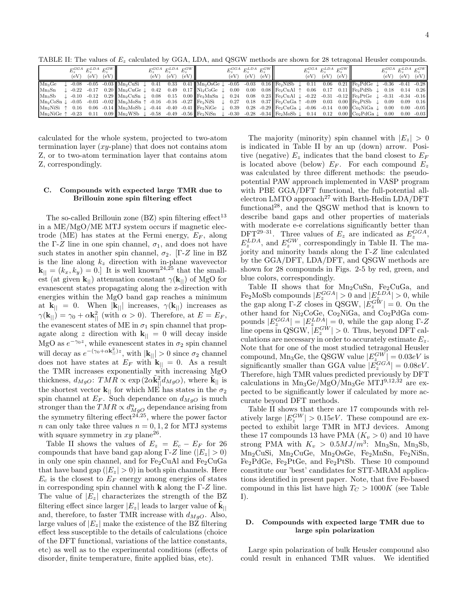TABLE II: The values of  $E<sub>z</sub>$  calculated by GGA, LDA, and QSGW methods are shown for 28 tetragonal Heusler compounds.

|          | $E_z^{GGA}$ $E_z^{LDA}$ $E_z^{GW}$ | $(eV)$ $(eV)$ $(eV)$ |  | $E_z^{GGA}$ $E_z^{LDA}$ $E_z^{GW}$ | $(eV)$ $(eV)$ $(eV)$ |                                                                                                                                                                                                                                                                                                | $E_z^{GGA}$ $E_z^{LDA}$ $E_z^{GW}$<br>$(eV)$ $(eV)$ $(eV)$ |  | $E_z^{GGA}$ $E_z^{LDA}$ $E_z^{GW}$<br>$(eV)$ $(eV)$ $(eV)$ |  | $E_z^{GGA}$ $E_z^{LDA}$ $E_z^{GW}$ | $(eV)$ $(eV)$ $(eV)$ |  |
|----------|------------------------------------|----------------------|--|------------------------------------|----------------------|------------------------------------------------------------------------------------------------------------------------------------------------------------------------------------------------------------------------------------------------------------------------------------------------|------------------------------------------------------------|--|------------------------------------------------------------|--|------------------------------------|----------------------|--|
| $Mn_3Ge$ |                                    |                      |  |                                    |                      | $\downarrow$ -0.08 -0.05 -0.03 Mn <sub>2</sub> CuSi $\downarrow$ 0.41 0.33 0.41 Mn <sub>2</sub> OsGe $\downarrow$ -0.05 -0.03 0.16 Fe <sub>2</sub> NiSb $\downarrow$ 0.11 0.06 0.21 Fe <sub>2</sub> PdGe $\downarrow$ -0.36 -0.41 -0.28                                                        |                                                            |  |                                                            |  |                                    |                      |  |
| $Mn_3Sn$ |                                    |                      |  |                                    |                      | $\downarrow$ -0.22 -0.17 0.20 $\ $ Mn <sub>2</sub> CuGe $\downarrow$ 0.42 0.49 0.17 $\ $ Ni <sub>2</sub> CoGe $\downarrow$ 0.00 0.00 0.08 $\ $ Fe <sub>2</sub> CuAl $\uparrow$ 0.06 0.17 0.11 $\ $ Fe <sub>2</sub> PdSb $\downarrow$ 0.18 0.14 0.26                                            |                                                            |  |                                                            |  |                                    |                      |  |
|          |                                    |                      |  |                                    |                      | $\text{Mn}_3\text{Sb}$ $\downarrow$ -0.10 -0.12 0.29 $\text{Mn}_2\text{CuSn}$ $\downarrow$ 0.08 0.15 0.00 $\text{[Fe}_2\text{MnSn}$ $\downarrow$ 0.24 0.08 0.23 $\text{[Fe}_2\text{CuAl}$ $\downarrow$ -0.22 -0.31 -0.12 $\text{[Fe}_2\text{PtGe}$ $\downarrow$ -0.31 -0.34 -0.16              |                                                            |  |                                                            |  |                                    |                      |  |
|          |                                    |                      |  |                                    |                      | $\text{Mn}_2\text{CoSn} \downarrow -0.05$ -0.03 -0.02 $\text{Mn}_2\text{MoSn}$ $\uparrow$ -0.16 -0.16 -0.27 $\text{F}$ Fe <sub>2</sub> NiSi $\downarrow$ 0.27 0.18 0.37 $\text{F}$ Fe <sub>2</sub> CuGa $\uparrow$ -0.09 0.03 0.00 $\text{F}$ Fe <sub>2</sub> PtSb $\downarrow$ 0.09 0.09 0.16 |                                                            |  |                                                            |  |                                    |                      |  |
|          |                                    |                      |  |                                    |                      | $\text{Mn}_2\text{NiSi} \uparrow 0.16$ 0.06 -0.14 $\text{Mn}_2\text{MoSb} \downarrow$ -0.44 -0.40 -0.41 $\text{[Fe}_2\text{NiGe} \downarrow 0.39$ 0.28 -0.29 $\text{[Fe}_2\text{CuGa} \downarrow$ -0.06 -0.14 0.00 $\text{[Co}_2\text{NiGa} \downarrow 0.00$ 0.00 -0.05                        |                                                            |  |                                                            |  |                                    |                      |  |
|          |                                    |                      |  |                                    |                      | $\text{Mn}_2\text{NiGe} \uparrow -0.23$ 0.11 0.09 $\text{Mn}_2\text{WSb} \downarrow -0.58$ -0.49 -0.58 $\text{Fe}_2\text{NiSn} \downarrow -0.30$ -0.28 -0.34 $\text{[Fe}_2\text{MoSb} \downarrow 0.14$ 0.12 0.00 $\text{[Co}_2\text{PdGa} \downarrow 0.00$ 0.00 -0.03                          |                                                            |  |                                                            |  |                                    |                      |  |

calculated for the whole system, projected to two-atom termination layer  $(xy$ -plane) that does not contains atom Z, or to two-atom termination layer that contains atom Z, correspondingly.

#### C. Compounds with expected large TMR due to Brillouin zone spin filtering effect

The so-called Brillouin zone  $(BZ)$  spin filtering effect<sup>13</sup> in a ME/MgO/ME MTJ system occurs if magnetic electrode (ME) has states at the Fermi energy,  $E_F$ , along the Γ-Z line in one spin channel,  $\sigma_1$ , and does not have such states in another spin channel,  $\sigma_2$ . [Γ-Z line in BZ is the line along  $k_z$  direction with in-plane wavevector  $\mathbf{k}_{\parallel} = (k_x, k_y) = 0$ . It is well known<sup>24,25</sup> that the smallest (at given  $\mathbf{k}_{\parallel}$ ) attenuation constant  $\gamma(\mathbf{k}_{\parallel})$  of MgO for evanescent states propagating along the z-direction with energies within the MgO band gap reaches a minimum at  $\mathbf{k}_{\parallel} = 0$ . When  $|\mathbf{k}_{\parallel}|$  increases,  $\gamma(\mathbf{k}_{\parallel})$  increases as  $\gamma(\mathbf{k}_{\parallel}) = \gamma_0 + \alpha \mathbf{k}_{\parallel}^2$  (with  $\alpha > 0$ ). Therefore, at  $E = E_F$ , the evanescent states of ME in  $\sigma_1$  spin channel that propagate along z direction with  $k_{\parallel} = 0$  will decay inside MgO as  $e^{-\gamma_0 z}$ , while evanescent states in  $\sigma_2$  spin channel will decay as  $e^{-(\gamma_0 + \alpha \mathbf{k}_{||}^2)z}$ , with  $|\mathbf{k}_{||}| > 0$  since  $\sigma_2$  channel does not have states at  $E_F$  with  $\mathbf{k}_{||} = 0$ . As a result the TMR increases exponentially with increasing MgO thickness,  $d_{MgO}$ :  $TMR \propto \exp(2\alpha \tilde{\mathbf{k}}_{\parallel}^2 d_{MgO})$ , where  $\tilde{\mathbf{k}}_{\parallel}$  is the shortest vector  $\mathbf{k}_{\parallel}$  for which ME has states in the  $\sigma_2$ spin channel at  $E_F$ . Such dependance on  $d_{MgO}$  is much stronger than the  $TMR \propto d_{MgO}^n$  dependance arising from the symmetry filtering effect<sup>24,25</sup>, where the power factor n can only take three values  $n = 0, 1, 2$  for MTJ systems with square symmetry in  $xy$  plane<sup>26</sup>.

Table II shows the values of  $E_z = E_c - E_F$  for 26 compounds that have band gap along Γ-Z line ( $|E_z| > 0$ ) in only one spin channel, and for  $Fe<sub>2</sub>CuAl$  and  $Fe<sub>2</sub>CuGa$ that have band gap  $(|E_z| > 0)$  in both spin channels. Here  $E_c$  is the closest to  $E_F$  energy among energies of states in corresponding spin channel with  $k$  along the  $\Gamma$ -Z line. The value of  $|E_z|$  characterizes the strength of the BZ filtering effect since larger  $|E_z|$  leads to larger value of  $\tilde{\mathbf{k}}_{||}$ and, therefore, to faster TMR increase with  $d_{MgO}$ . Also, large values of  $|E_z|$  make the existence of the BZ filtering effect less susceptible to the details of calculations (choice of the DFT functional, variations of the lattice constants, etc) as well as to the experimental conditions (effects of disorder, finite temperature, finite applied bias, etc).

The majority (minority) spin channel with  $|E_z| > 0$ is indicated in Table II by an up (down) arrow. Positive (negative)  $E_z$  indicates that the band closest to  $E_F$ is located above (below)  $E_F$ . For each compound  $E_z$ was calculated by three different methods: the pseudopotential PAW approach implemented in VASP program with PBE GGA/DFT functional, the full-potential allelectron LMTO approach<sup>27</sup> with Barth-Hedin LDA/DFT functional<sup>28</sup>, and the QSGW method that is known to describe band gaps and other properties of materials with moderate e-e correlations significantly better than DFT<sup>29-31</sup>. Three values of  $E_z$  are indicated as  $E_z^{GGA}$ ,  $E_z^{LDA}$ , and  $E_z^{GW}$ , correspondingly in Table II. The majority and minority bands along the Γ-Z line calculated by the GGA/DFT, LDA/DFT, and QSGW methods are shown for 28 compounds in Figs. 2-5 by red, green, and blue colors, correspondingly.

Table II shows that for  $Mn_2CuSn$ ,  $Fe<sub>2</sub>CuGa$ , and Fe<sub>2</sub>MoSb compounds  $|E_z^{GGA}| > 0$  and  $|E_z^{LDA}| > 0$ , while the gap along Γ-Z closes in QSGW,  $|E_z^{GW}| = 0$ . On the other hand for Ni2CoGe, Co2NiGa, and Co2PdGa compounds  $|E_z^{GGA}| = |E_z^{LDA}| = 0$ , while the gap along Γ-Z line opens in QSGW,  $|E_z^{GW}| > 0$ . Thus, beyond DFT calculations are necessary in order to accurately estimate  $E_z$ . Note that for one of the most studied tetragonal Heusler compound, Mn<sub>3</sub>Ge, the QSGW value  $|E_{z}^{GW}| = 0.03eV$  is compound, whistee, the QSGW value  $|E_z^{\text{GGA}}| = 0.03$ eV.<br>
significantly smaller than GGA value  $|E_z^{\text{GGA}}| = 0.08$ eV. Therefore, high TMR values predicted previously by DFT calculations in  $Mn_3Ge/MgO/Mn_3Ge$   $MTJ^{9,12,\r{32}}$  are expected to be significantly lower if calculated by more accurate beyond DFT methods.

Table II shows that there are 17 compounds with relatively large  $|E_z^{GW}| > 0.15 eV$ . These compound are expected to exhibit large TMR in MTJ devices. Among these 17 compounds 13 have PMA  $(K_v > 0)$  and 10 have strong PMA with  $K_v > 0.5 MJ/m^3$ : Mn<sub>3</sub>Sn, Mn<sub>3</sub>Sb, Mn2CuSi, Mn2CuGe, Mn2OsGe, Fe2MnSn, Fe2NiSn, Fe2PdGe, Fe2PtGe, and Fe2PtSb. These 10 compound constitute our 'best' candidates for STT-MRAM applications identified in present paper. Note, that five Fe-based compound in this list have high  $T<sub>C</sub> > 1000K$  (see Table I).

#### D. Compounds with expected large TMR due to large spin polarization

Large spin polarization of bulk Heusler compound also could result in enhanced TMR values. We identified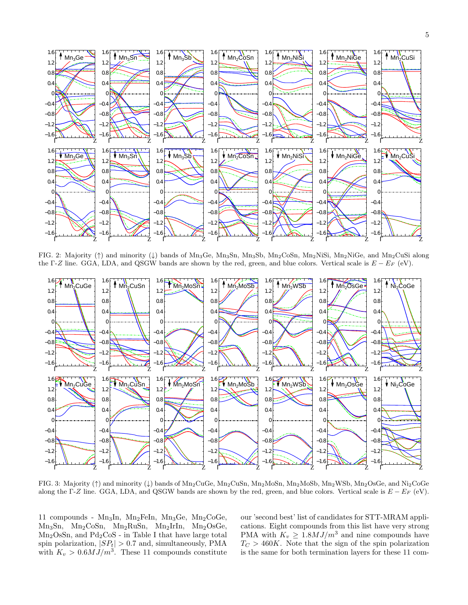

FIG. 2: Majority (↑) and minority (↓) bands of Mn3Ge, Mn3Sn, Mn3Sb, Mn2CoSn, Mn2NiSi, Mn2NiGe, and Mn2CuSi along the Γ-Z line. GGA, LDA, and QSGW bands are shown by the red, green, and blue colors. Vertical scale is  $E - E_F$  (eV).



FIG. 3: Majority (↑) and minority (↓) bands of Mn2CuGe, Mn2CuSn, Mn2MoSn, Mn2MoSb, Mn2WSb, Mn2OsGe, and Ni2CoGe along the Γ-Z line. GGA, LDA, and QSGW bands are shown by the red, green, and blue colors. Vertical scale is  $E - E_F$  (eV).

11 compounds - Mn<sub>3</sub>In, Mn<sub>2</sub>FeIn, Mn<sub>3</sub>Ge, Mn<sub>2</sub>CoGe, Mn3Sn, Mn2CoSn, Mn2RuSn, Mn2IrIn, Mn2OsGe,  $Mn<sub>2</sub>OsSn, and Pd<sub>2</sub>CoS - in Table I that have large total$ spin polarization,  $|SP_t| > 0.7$  and, simultaneously, PMA with  $K_v > 0.6 MJ/m^3$ . These 11 compounds constitute

our 'second best' list of candidates for STT-MRAM applications. Eight compounds from this list have very strong PMA with  $K_v \geq 1.8 MJ/m^3$  and nine compounds have  $T<sub>C</sub> > 460K$ . Note that the sign of the spin polarization is the same for both termination layers for these 11 com-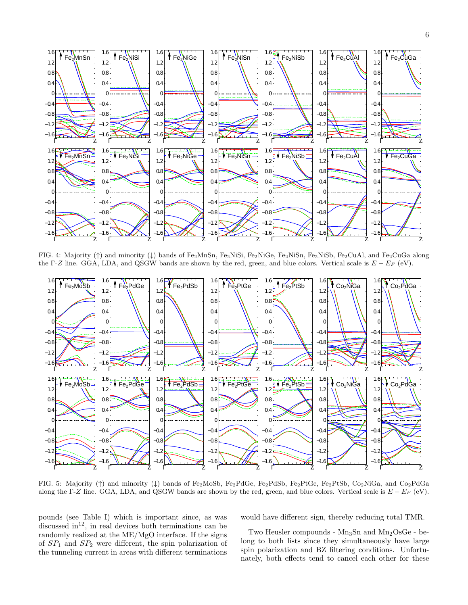

FIG. 4: Majority (↑) and minority (↓) bands of Fe2MnSn, Fe2NiSi, Fe2NiGe, Fe2NiSn, Fe2NiSb, Fe2CuAl, and Fe2CuGa along the Γ-Z line. GGA, LDA, and QSGW bands are shown by the red, green, and blue colors. Vertical scale is  $E - E_F$  (eV).



FIG. 5: Majority (↑) and minority (↓) bands of Fe2MoSb, Fe2PdGe, Fe2PdSb, Fe2PtGe, Fe2PtSb, Co2NiGa, and Co2PdGa along the Γ-Z line. GGA, LDA, and QSGW bands are shown by the red, green, and blue colors. Vertical scale is  $E - E_F$  (eV).

pounds (see Table I) which is important since, as was discussed in<sup>12</sup>, in real devices both terminations can be randomly realized at the ME/MgO interface. If the signs of  $SP_1$  and  $SP_2$  were different, the spin polarization of the tunneling current in areas with different terminations would have different sign, thereby reducing total TMR.

Two Heusler compounds -  $Mn_3Sn$  and  $Mn_2OsGe$  - belong to both lists since they simultaneously have large spin polarization and BZ filtering conditions. Unfortunately, both effects tend to cancel each other for these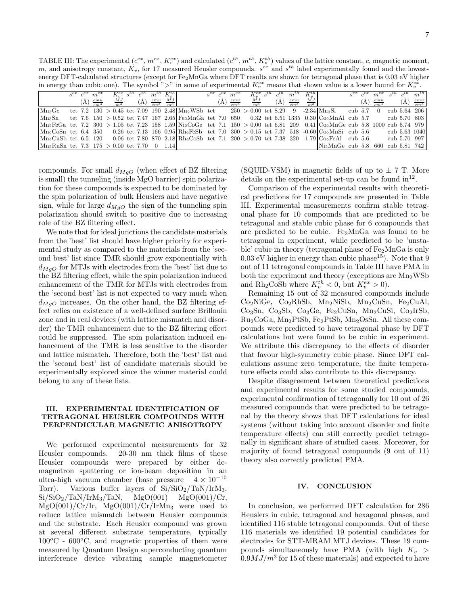TABLE III: The experimental  $(c^{ex}, m^{ex}, K^{ex}_{v})$  and calculated  $(c^{th}, m^{th}, K^{th}_{v})$  values of the lattice constant, c, magnetic moment, m, and anisotropy constant,  $K_v$ , for 17 measured Heusler compounds.  $s^{ex}$  and  $s^{th}$  label experimentally found and the lowestenergy DFT-calculated structures (except for Fe2MnGa where DFT results are shown for tetragonal phase that is 0.03 eV higher in energy than cubic one). The symbol ">" in some of experimental  $K_v^{ex}$  means that shown value is a lower bound for  $K_v^{ex}$ .

|                                                                                                                                                                   | $s^{ex}$ $c^{ex}$ | $m^{ex}$ | $K_v^{ex}$ s <sup>th</sup>                         |  | $m^{th} K_v^{th}$                                               |                                                                                                             | $s^{ex}$ $c^{ex}$ | $m^{ex}$           | $K_v^{ex}$ s <sup>th</sup> |     | $m^{\prime}$ | $K_v^{th}$                          |                                                                                                                                |           | $s^{ex}$ $c^{ex}$ | $m^{ex}$           |     | $m^{th}$                  |
|-------------------------------------------------------------------------------------------------------------------------------------------------------------------|-------------------|----------|----------------------------------------------------|--|-----------------------------------------------------------------|-------------------------------------------------------------------------------------------------------------|-------------------|--------------------|----------------------------|-----|--------------|-------------------------------------|--------------------------------------------------------------------------------------------------------------------------------|-----------|-------------------|--------------------|-----|---------------------------|
|                                                                                                                                                                   |                   |          | $\left(\AA\right) \frac{emu}{cm^3} \frac{MJ}{m^3}$ |  | $\left(\mathring{A}\right)$ $\frac{emu}{cm^3}$ $\frac{MJ}{m^3}$ |                                                                                                             | (A)               | $\frac{emu}{cm^3}$ | $\frac{MJ}{m^3}$           | (A) |              | $\frac{emu}{cm^3}$ $\frac{MJ}{m^3}$ |                                                                                                                                |           | (A)               | $\frac{emu}{cm^3}$ | (A) | $\frac{emu}{cm^3}$        |
| $Mn_3Ge$                                                                                                                                                          |                   |          |                                                    |  |                                                                 | tet 7.2 130 > 0.45 tet 7.09 190 2.48 Mn <sub>2</sub> WSb tet 250 > 0.00 tet 8.29 9 -2.34 Mn <sub>3</sub> Si |                   |                    |                            |     |              |                                     |                                                                                                                                | cub $5.7$ |                   | $\overline{0}$     |     | cub $5.\overline{64}$ 206 |
| $Mn_3Sn$                                                                                                                                                          |                   |          |                                                    |  |                                                                 |                                                                                                             |                   |                    |                            |     |              |                                     | tet 7.6 $150 > 0.52$ tet 7.47 $167$ 2.65 Fe <sub>2</sub> MnGa tet 7.0 650 0.32 tet 6.51 1335 0.30 Co <sub>2</sub> MnAl cub 5.7 |           |                   |                    |     | cub 5.70 803              |
| $\text{Mn}_2$ FeGa tet 7.2 300 > 1.05 tet 7.23 158 1.59 Ni <sub>2</sub> CoGe tet 7.1 150 > 0.00 tet 6.81 209 0.41 Co <sub>2</sub> MnGe cub 5.8 1000 cub 5.74 979  |                   |          |                                                    |  |                                                                 |                                                                                                             |                   |                    |                            |     |              |                                     |                                                                                                                                |           |                   |                    |     |                           |
| $\left[\text{Mn}_2\text{CoSn} \right]$ tet 6.4 350 0.26 tet 7.13 166 0.95 Rh <sub>2</sub> FeSb tet 7.0 300 > 0.15 tet 7.37 518 -0.60 Co <sub>2</sub> MnSi cub 5.6 |                   |          |                                                    |  |                                                                 |                                                                                                             |                   |                    |                            |     |              |                                     |                                                                                                                                |           |                   |                    |     | cub 5.63 1040             |
| $\text{Mn}_2\text{CuSb}$ tet 6.5 120 0.06 tet 7.80 870 2.18 Rh <sub>2</sub> CoSb tet 7.1 200 > 0.70 tet 7.38 320 1.79 Co <sub>2</sub> FeAl cub 5.6                |                   |          |                                                    |  |                                                                 |                                                                                                             |                   |                    |                            |     |              |                                     |                                                                                                                                |           |                   |                    |     | cub 5.70 997              |
| $\text{Mn}_2\text{RuSn}$ tet 7.3 175 > 0.00 tet 7.70 0 1.14                                                                                                       |                   |          |                                                    |  |                                                                 |                                                                                                             |                   |                    |                            |     |              |                                     | $Ni2MnGe$ cub 5.8 660 cub 5.81 742                                                                                             |           |                   |                    |     |                           |

compounds. For small  $d_{MgO}$  (when effect of BZ filtering is small) the tunneling (inside MgO barrier) spin polarization for these compounds is expected to be dominated by the spin polarization of bulk Heuslers and have negative sign, while for large  $d_{MgO}$  the sign of the tunneling spin polarization should switch to positive due to increasing role of the BZ filtering effect.

We note that for ideal junctions the candidate materials from the 'best' list should have higher priority for experimental study as compared to the materials from the 'second best' list since TMR should grow exponentially with  $d_{MgO}$  for MTJs with electrodes from the 'best' list due to the BZ filtering effect, while the spin polarization induced enhancement of the TMR for MTJs with electrodes from the 'second best' list is not expected to vary much when  $d_{MQ}$  increases. On the other hand, the BZ filtering effect relies on existence of a well-defined surface Brillouin zone and in real devices (with lattice mismatch and disorder) the TMR enhancement due to the BZ filtering effect could be suppressed. The spin polarization induced enhancement of the TMR is less sensitive to the disorder and lattice mismatch. Therefore, both the 'best' list and the 'second best' list of candidate materials should be experimentally explored since the winner material could belong to any of these lists.

#### III. EXPERIMENTAL IDENTIFICATION OF TETRAGONAL HEUSLER COMPOUNDS WITH PERPENDICULAR MAGNETIC ANISOTROPY

We performed experimental measurements for 32 Heusler compounds. 20-30 nm thick films of these Heusler compounds were prepared by either dcmagnetron sputtering or ion-beam deposition in an ultra-high vacuum chamber (base pressure  $4 \times 10^{-10}$ <br>Torr). Various buffer layers of Si/SiO<sub>2</sub>/TaN/IrM<sub>3</sub>, Various buffer layers of  $Si/SiO_2/TaN/IrM_3$ ,  $Si/SiO_2/TaN/IrM_3/TaN$ ,  $MgO(001)$   $MgO(001)/Cr$ ,  $MgO(001)/Cr/Ir$ ,  $MgO(001)/Cr/IrMn_3$  were used to reduce lattice mismatch between Heusler compounds and the substrate. Each Heusler compound was grown at several different substrate temperature, typically  $100^{\circ}$ C -  $600^{\circ}$ C, and magnetic properties of them were measured by Quantum Design superconducting quantum interference device vibrating sample magnetometer (SQUID-VSM) in magnetic fields of up to  $\pm$  7 T. More details on the experimental set-up can be found  $\mathrm{in}^{12}$ .

Comparison of the experimental results with theoretical predictions for 17 compounds are presented in Table III. Experimental measurements confirm stable tetragonal phase for 10 compounds that are predicted to be tetragonal and stable cubic phase for 6 compounds that are predicted to be cubic.  $Fe<sub>2</sub>MnGa$  was found to be tetragonal in experiment, while predicted to be 'unstable' cubic in theory (tetragonal phase of  $Fe<sub>2</sub>MnGa$  is only  $0.03$  eV higher in energy than cubic phase<sup>15</sup>). Note that 9 out of 11 tetragonal compounds in Table III have PMA in both the experiment and theory (exceptions are  $Mn<sub>2</sub>WSb$ and Rh<sub>2</sub>CoSb where  $K_v^{th} < 0$ , but  $K_v^{ex} > 0$ ).

Remaining 15 out of 32 measured compounds include Co2NiGe, Co2RhSb, Mn2NiSb, Mn2CuSn, Fe2CuAl, Co3Sn, Co3Sb, Co3Ge, Fe2CuSn, Mn2CuSi, Co2IrSb,  $Ru<sub>2</sub>CoGa, Mn<sub>2</sub>PtSb, Fe<sub>2</sub>PtSb, Mn<sub>2</sub>OsSn. All these com$ pounds were predicted to have tetragonal phase by DFT calculations but were found to be cubic in experiment. We attribute this discrepancy to the effects of disorder that favour high-symmetry cubic phase. Since DFT calculations assume zero temperature, the finite temperature effects could also contribute to this discrepancy.

Despite disagreement between theoretical predictions and experimental results for some studied compounds, experimental confirmation of tetragonally for 10 out of 26 measured compounds that were predicted to be tetragonal by the theory shows that DFT calculations for ideal systems (without taking into account disorder and finite temperature effects) can still correctly predict tetragonally in significant share of studied cases. Moreover, for majority of found tetragonal compounds (9 out of 11) theory also correctly predicted PMA.

#### IV. CONCLUSION

In conclusion, we performed DFT calculation for 286 Heuslers in cubic, tetragonal and hexagonal phases, and identified 116 stable tetragonal compounds. Out of these 116 materials we identified 19 potential candidates for electrodes for STT-MRAM MTJ devices. These 19 compounds simultaneously have PMA (with high  $K_v$ )  $0.9MJ/m<sup>3</sup>$  for 15 of these materials) and expected to have